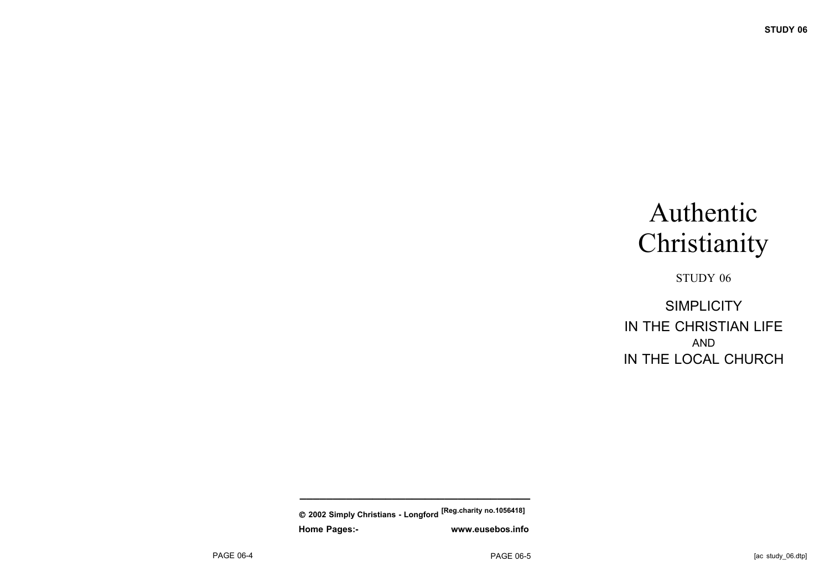# Authentic **Christianity**

STUDY 06

**SIMPLICITY** IN THE CHRISTIAN LIFE AND IN THE LOCAL CHURCH

 **2002 Simply Christians - Longford [Reg.charity no.1056418] Home Pages:- www.eusebos.info**

**\_\_\_\_\_\_\_\_\_\_\_\_\_\_\_\_\_\_\_\_\_\_\_\_\_\_\_\_\_\_\_\_\_\_\_**